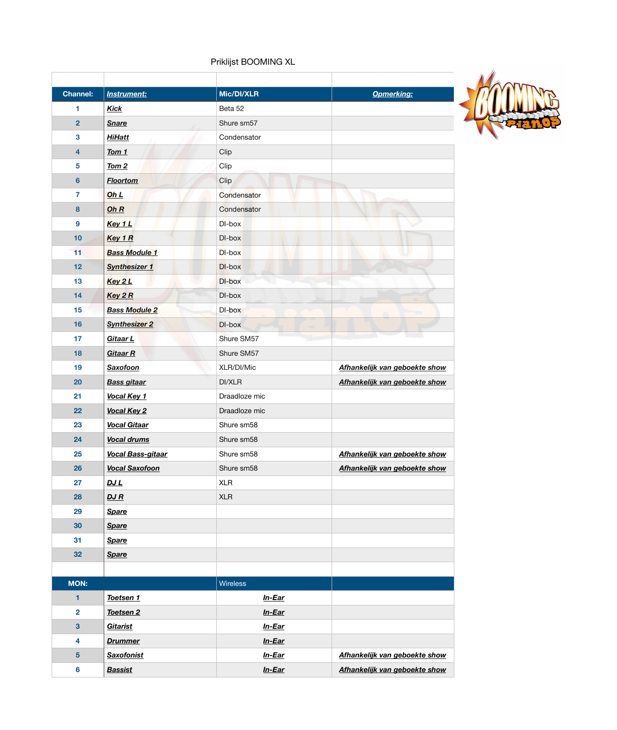## Priklijst BOOMING XL

| <b>Channel:</b>         | <b>Instrument:</b>       | Mic/DI/XLR      | <b>Opmerking:</b>             |
|-------------------------|--------------------------|-----------------|-------------------------------|
| 1                       | <b>Kick</b>              | Beta 52         |                               |
| $\overline{2}$          | <b>Snare</b>             | Shure sm57      |                               |
| $\mathbf{3}$            | <b>HiHatt</b>            | Condensator     |                               |
| $\overline{\mathbf{4}}$ | Tom 1                    | Clip            |                               |
| 5                       | Tom <sub>2</sub>         | Clip            |                               |
| $6\phantom{1}$          | <b>Floortom</b>          | Clip            |                               |
| 7                       | Oh L                     | Condensator     |                               |
| 8                       | Oh $R$                   | Condensator     |                               |
| $\boldsymbol{9}$        | Key 1 L                  | DI-box          |                               |
| 10                      | Key 1 R                  | DI-box          |                               |
| 11                      | <b>Bass Module 1</b>     | DI-box          |                               |
| 12                      | <b>Synthesizer 1</b>     | DI-box          |                               |
| 13                      | Key 2 L                  | DI-box          |                               |
| 14                      | Key 2R                   | DI-box          |                               |
| 15                      | <b>Bass Module 2</b>     | DI-box          |                               |
| 16                      | <b>Synthesizer 2</b>     | DI-box          |                               |
| 17                      | <b>Gitaar L</b>          | Shure SM57      |                               |
| 18                      | <b>Gitaar R</b>          | Shure SM57      |                               |
| 19                      | <b>Saxofoon</b>          | XLR/DI/Mic      | Afhankelijk van geboekte show |
| 20                      | <b>Bass gitaar</b>       | DI/XLR          | Afhankelijk van geboekte show |
| 21                      | Vocal Key 1              | Draadloze mic   |                               |
| 22                      | <b>Vocal Key 2</b>       | Draadloze mic   |                               |
| 23                      | <b>Vocal Gitaar</b>      | Shure sm58      |                               |
| 24                      | <b>Vocal drums</b>       | Shure sm58      |                               |
| 25                      | <b>Vocal Bass-gitaar</b> | Shure sm58      | Afhankelijk van geboekte show |
| 26                      | <b>Vocal Saxofoon</b>    | Shure sm58      | Afhankelijk van geboekte show |
| 27                      | DJ L                     | <b>XLR</b>      |                               |
| 28                      | DJ R                     | <b>XLR</b>      |                               |
| 29                      | <b>Spare</b>             |                 |                               |
| 30                      | <b>Spare</b>             |                 |                               |
| 31                      | <b>Spare</b>             |                 |                               |
| 32                      | <b>Spare</b>             |                 |                               |
|                         |                          |                 |                               |
| <b>MON:</b>             |                          | <b>Wireless</b> |                               |
| 1                       | Toetsen 1                | <u>In-Ear</u>   |                               |
| $\overline{\mathbf{2}}$ | Toetsen 2                | $In-Ear$        |                               |
| $\mathbf{3}$            | <b>Gitarist</b>          | In-Ear          |                               |
| 4                       | <b>Drummer</b>           | <u>In-Ear</u>   |                               |
| $5\phantom{1}$          | <b>Saxofonist</b>        | $In-Ear$        | Afhankelijk van geboekte show |
| $6\phantom{a}$          | <b>Bassist</b>           | In-Ear          | Afhankelijk van geboekte show |

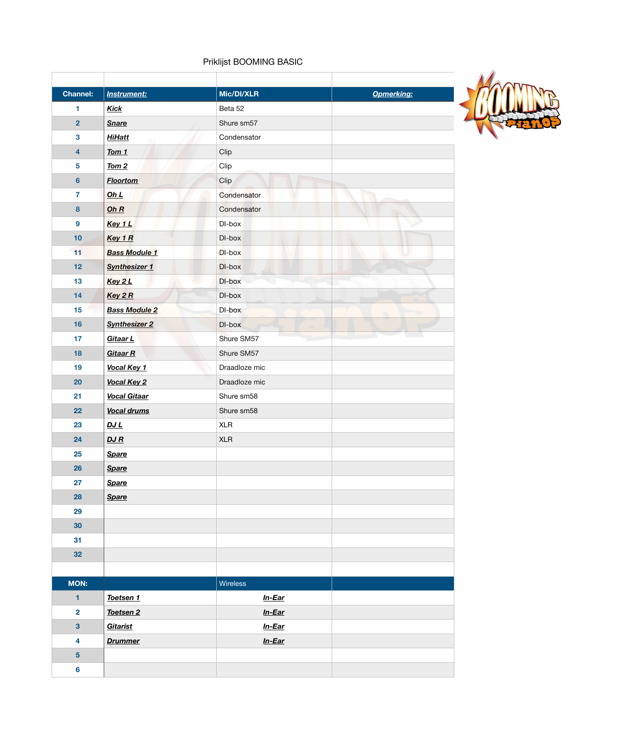## Priklijst BOOMING BASIC

| <b>Channel:</b>         | <b>Instrument:</b>   | Mic/DI/XLR    | <b>Opmerking:</b> |
|-------------------------|----------------------|---------------|-------------------|
| 1                       | <b>Kick</b>          | Beta 52       |                   |
| $\overline{2}$          | <b>Snare</b>         | Shure sm57    |                   |
| $\mathbf{3}$            | <b>HiHatt</b>        | Condensator   |                   |
| $\overline{\mathbf{4}}$ | Tom 1                | Clip          |                   |
| $\overline{\mathbf{5}}$ | $Tom 2$              | Clip          |                   |
| $6\phantom{a}$          | <b>Floortom</b>      | Clip          |                   |
| $\overline{7}$          | Oh L                 | Condensator   |                   |
| 8                       | Oh $R$               | Condensator   |                   |
| $\boldsymbol{9}$        | Key 1 L              | DI-box        |                   |
| 10                      | Key 1 R              | DI-box        |                   |
| 11                      | <b>Bass Module 1</b> | DI-box        |                   |
| 12                      | <b>Synthesizer 1</b> | DI-box        |                   |
| 13                      | Key 2 L              | DI-box        |                   |
| 14                      | Key 2R               | DI-box        |                   |
| 15                      | <b>Bass Module 2</b> | DI-box        |                   |
| 16                      | <b>Synthesizer 2</b> | DI-box        |                   |
| 17                      | Gitaar L             | Shure SM57    |                   |
| 18                      | <b>Gitaar R</b>      | Shure SM57    |                   |
| 19                      | Vocal Key 1          | Draadloze mic |                   |
| 20                      | Vocal Key 2          | Draadloze mic |                   |
| 21                      | <b>Vocal Gitaar</b>  | Shure sm58    |                   |
| 22                      | <b>Vocal drums</b>   | Shure sm58    |                   |
| 23                      | DJ L                 | <b>XLR</b>    |                   |
| 24                      | DJ R                 | <b>XLR</b>    |                   |
| 25                      | <b>Spare</b>         |               |                   |
| 26                      | <b>Spare</b>         |               |                   |
| 27                      | <b>Spare</b>         |               |                   |
| 28                      | <b>Spare</b>         |               |                   |
| 29                      |                      |               |                   |
| 30                      |                      |               |                   |
| 31                      |                      |               |                   |
| 32                      |                      |               |                   |
|                         |                      |               |                   |
| <b>MON:</b>             |                      | Wireless      |                   |
| $\blacksquare$          | Toetsen 1            | <u>In-Ear</u> |                   |
| $\overline{\mathbf{2}}$ | Toetsen 2            | $In-Ear$      |                   |
| $\overline{\mathbf{3}}$ | Gitarist             | <u>In-Ear</u> |                   |
| 4                       | <b>Drummer</b>       | In-Ear        |                   |
| $5\phantom{a}$          |                      |               |                   |
| $6\phantom{a}$          |                      |               |                   |